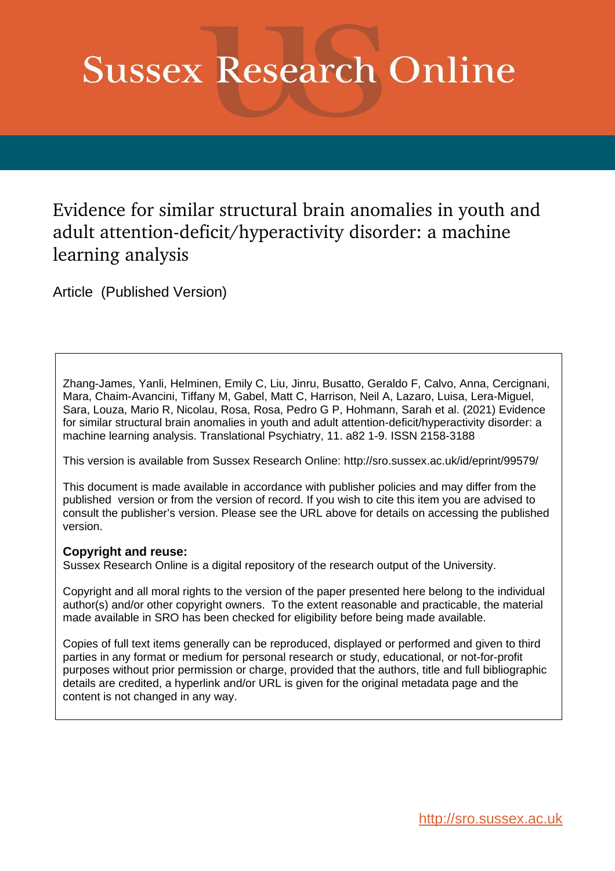# **Sussex Research Online**

Evidence for similar structural brain anomalies in youth and adult attention-deficit/hyperactivity disorder: a machine learning analysis

Article (Published Version)

Zhang-James, Yanli, Helminen, Emily C, Liu, Jinru, Busatto, Geraldo F, Calvo, Anna, Cercignani, Mara, Chaim-Avancini, Tiffany M, Gabel, Matt C, Harrison, Neil A, Lazaro, Luisa, Lera-Miguel, Sara, Louza, Mario R, Nicolau, Rosa, Rosa, Pedro G P, Hohmann, Sarah et al. (2021) Evidence for similar structural brain anomalies in youth and adult attention-deficit/hyperactivity disorder: a machine learning analysis. Translational Psychiatry, 11. a82 1-9. ISSN 2158-3188

This version is available from Sussex Research Online: http://sro.sussex.ac.uk/id/eprint/99579/

This document is made available in accordance with publisher policies and may differ from the published version or from the version of record. If you wish to cite this item you are advised to consult the publisher's version. Please see the URL above for details on accessing the published version.

#### **Copyright and reuse:**

Sussex Research Online is a digital repository of the research output of the University.

Copyright and all moral rights to the version of the paper presented here belong to the individual author(s) and/or other copyright owners. To the extent reasonable and practicable, the material made available in SRO has been checked for eligibility before being made available.

Copies of full text items generally can be reproduced, displayed or performed and given to third parties in any format or medium for personal research or study, educational, or not-for-profit purposes without prior permission or charge, provided that the authors, title and full bibliographic details are credited, a hyperlink and/or URL is given for the original metadata page and the content is not changed in any way.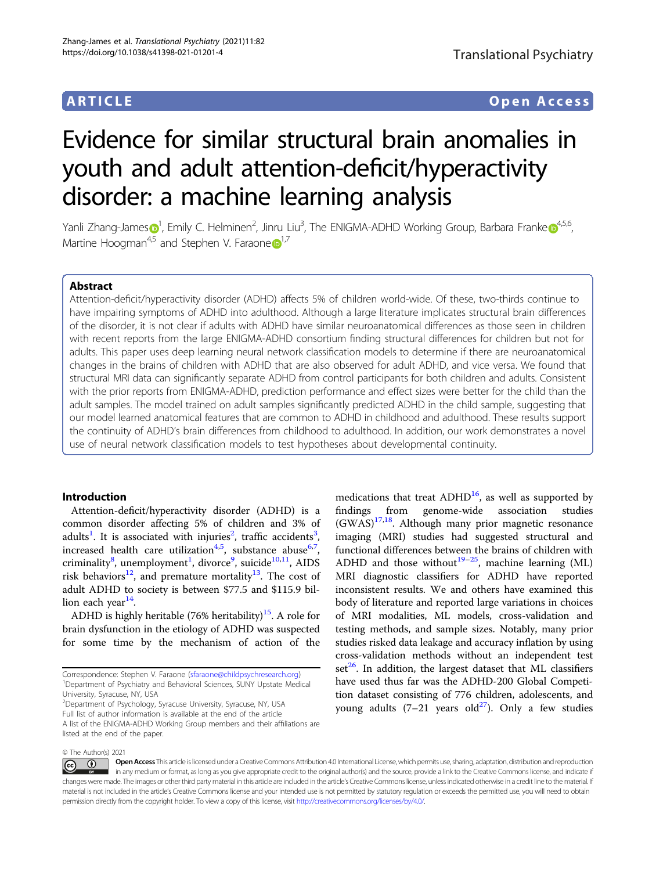#### ARTICLE Open Access

## Evidence for similar structural brain anomalies in youth and adult attention-deficit/hyperactivity disorder: a machine learning analysis

Yanli Zhang-Jam[e](http://orcid.org/0000-0003-4375-6572)s $\bm{\Theta}^1$  $\bm{\Theta}^1$ , Emily C. Helminen<sup>2</sup>, Jinru Liu<sup>3</sup>, The ENIGMA-ADHD Working Group, Barbara Franke $\bm{\Theta}^{4,5,6}$  $\bm{\Theta}^{4,5,6}$  $\bm{\Theta}^{4,5,6}$ , Martin[e](http://orcid.org/0000-0002-9217-3982) Hoogman<sup>4,5</sup> and Stephen V. Faraone  $\mathbf{D}^{1,7}$  $\mathbf{D}^{1,7}$  $\mathbf{D}^{1,7}$ 

#### Abstract

Attention-deficit/hyperactivity disorder (ADHD) affects 5% of children world-wide. Of these, two-thirds continue to have impairing symptoms of ADHD into adulthood. Although a large literature implicates structural brain differences of the disorder, it is not clear if adults with ADHD have similar neuroanatomical differences as those seen in children with recent reports from the large ENIGMA-ADHD consortium finding structural differences for children but not for adults. This paper uses deep learning neural network classification models to determine if there are neuroanatomical changes in the brains of children with ADHD that are also observed for adult ADHD, and vice versa. We found that structural MRI data can significantly separate ADHD from control participants for both children and adults. Consistent with the prior reports from ENIGMA-ADHD, prediction performance and effect sizes were better for the child than the adult samples. The model trained on adult samples significantly predicted ADHD in the child sample, suggesting that our model learned anatomical features that are common to ADHD in childhood and adulthood. These results support the continuity of ADHD's brain differences from childhood to adulthood. In addition, our work demonstrates a novel use of neural network classification models to test hypotheses about developmental continuity.

#### Introduction

Attention-deficit/hyperactivity disorder (ADHD) is a common disorder affecting 5% of children and 3% of adults<sup>[1](#page-7-0)</sup>. It is associated with injuries<sup>[2](#page-7-0)</sup>, traffic accidents<sup>[3](#page-7-0)</sup>, increased health care utilization<sup>[4](#page-7-0),[5](#page-7-0)</sup>, substance abuse<sup>[6](#page-7-0),[7](#page-7-0)</sup>, criminality<sup>[8](#page-7-0)</sup>, unemployment<sup>[1](#page-7-0)</sup>, divorce<sup>[9](#page-7-0)</sup>, suicide<sup>10,11</sup>, AIDS risk behaviors<sup>[12](#page-7-0)</sup>, and premature mortality<sup>13</sup>. The cost of adult ADHD to society is between \$77.5 and \$115.9 billion each year $14$ .

ADHD is highly heritable (76% heritability)<sup>[15](#page-7-0)</sup>. A role for brain dysfunction in the etiology of ADHD was suspected for some time by the mechanism of action of the

2 Department of Psychology, Syracuse University, Syracuse, NY, USA Full list of author information is available at the end of the article A list of the ENIGMA-ADHD Working Group members and their affiliations are listed at the end of the paper.

medications that treat  $ADHD<sup>16</sup>$  $ADHD<sup>16</sup>$  $ADHD<sup>16</sup>$ , as well as supported by findings from genome-wide association studies  $(GWAS)^{17,18}$  $(GWAS)^{17,18}$  $(GWAS)^{17,18}$  $(GWAS)^{17,18}$  $(GWAS)^{17,18}$ . Although many prior magnetic resonance imaging (MRI) studies had suggested structural and functional differences between the brains of children with ADHD and those without<sup>[19](#page-7-0)-[25](#page-7-0)</sup>, machine learning (ML) MRI diagnostic classifiers for ADHD have reported inconsistent results. We and others have examined this body of literature and reported large variations in choices of MRI modalities, ML models, cross-validation and testing methods, and sample sizes. Notably, many prior studies risked data leakage and accuracy inflation by using cross-validation methods without an independent test set<sup>[26](#page-7-0)</sup>. In addition, the largest dataset that ML classifiers have used thus far was the ADHD-200 Global Competition dataset consisting of 776 children, adolescents, and young adults  $(7-21)$  years old<sup>27</sup>). Only a few studies

Open Access This article is licensed under a Creative Commons Attribution 4.0 International License, which permits use, sharing, adaptation, distribution and reproduction (i)  $\vert$  (cc) in any medium or format, as long as you give appropriate credit to the original author(s) and the source, provide a link to the Creative Commons license, and indicate if changes were made. The images or other third party material in this article are included in the article's Creative Commons license, unless indicated otherwise in a credit line to the material. If material is not included in the article's Creative Commons license and your intended use is not permitted by statutory regulation or exceeds the permitted use, you will need to obtain permission directly from the copyright holder. To view a copy of this license, visit <http://creativecommons.org/licenses/by/4.0/>.

Correspondence: Stephen V. Faraone ([sfaraone@childpsychresearch.org](mailto:sfaraone@childpsychresearch.org)) <sup>1</sup> <sup>1</sup>Department of Psychiatry and Behavioral Sciences, SUNY Upstate Medical University, Syracuse, NY, USA

<sup>©</sup> The Author(s) 2021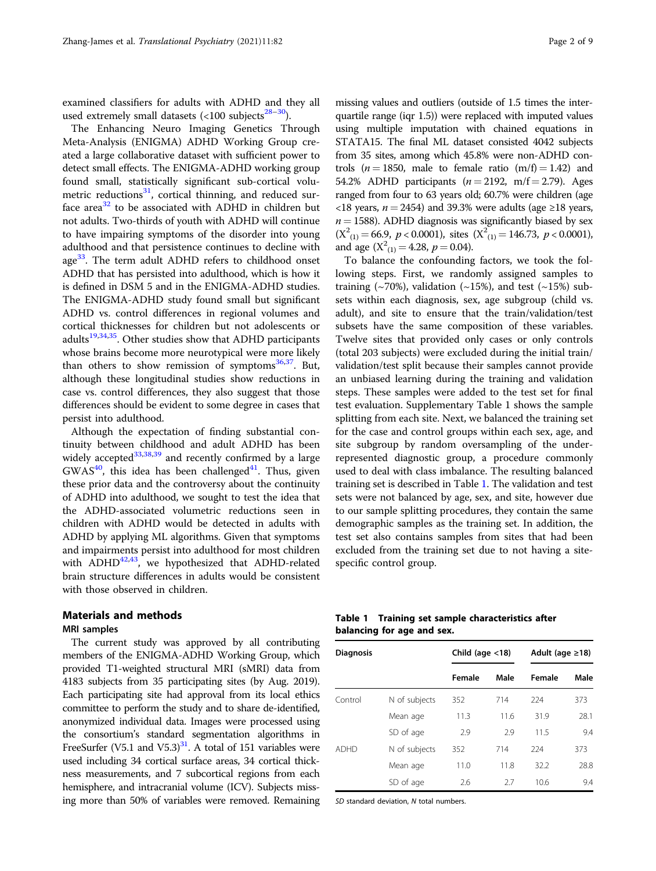examined classifiers for adults with ADHD and they all used extremely small datasets  $\left($  < 100 subjects<sup>[28](#page-7-0)–[30](#page-7-0)</sup>).

The Enhancing Neuro Imaging Genetics Through Meta-Analysis (ENIGMA) ADHD Working Group created a large collaborative dataset with sufficient power to detect small effects. The ENIGMA-ADHD working group found small, statistically significant sub-cortical volumetric reductions $31$ , cortical thinning, and reduced surface area $32$  to be associated with ADHD in children but not adults. Two-thirds of youth with ADHD will continue to have impairing symptoms of the disorder into young adulthood and that persistence continues to decline with age<sup>[33](#page-7-0)</sup>. The term adult ADHD refers to childhood onset ADHD that has persisted into adulthood, which is how it is defined in DSM 5 and in the ENIGMA-ADHD studies. The ENIGMA-ADHD study found small but significant ADHD vs. control differences in regional volumes and cortical thicknesses for children but not adolescents or adults $19,34,35$  $19,34,35$  $19,34,35$  $19,34,35$  $19,34,35$ . Other studies show that ADHD participants whose brains become more neurotypical were more likely than others to show remission of symptoms $36,37$ . But, although these longitudinal studies show reductions in case vs. control differences, they also suggest that those differences should be evident to some degree in cases that persist into adulthood.

Although the expectation of finding substantial continuity between childhood and adult ADHD has been widely accepted<sup>[33,38,39](#page-7-0)</sup> and recently confirmed by a large  $GWAS<sup>40</sup>$  $GWAS<sup>40</sup>$  $GWAS<sup>40</sup>$ , this idea has been challenged<sup>[41](#page-7-0)</sup>. Thus, given these prior data and the controversy about the continuity of ADHD into adulthood, we sought to test the idea that the ADHD-associated volumetric reductions seen in children with ADHD would be detected in adults with ADHD by applying ML algorithms. Given that symptoms and impairments persist into adulthood for most children with ADHD $42,43$  $42,43$  $42,43$ , we hypothesized that ADHD-related brain structure differences in adults would be consistent with those observed in children.

### Materials and methods

#### MRI samples

The current study was approved by all contributing members of the ENIGMA-ADHD Working Group, which provided T1-weighted structural MRI (sMRI) data from 4183 subjects from 35 participating sites (by Aug. 2019). Each participating site had approval from its local ethics committee to perform the study and to share de-identified, anonymized individual data. Images were processed using the consortium's standard segmentation algorithms in FreeSurfer (V5.1 and V5.3) $3^3$ . A total of 151 variables were used including 34 cortical surface areas, 34 cortical thickness measurements, and 7 subcortical regions from each hemisphere, and intracranial volume (ICV). Subjects missing more than 50% of variables were removed. Remaining missing values and outliers (outside of 1.5 times the interquartile range (iqr 1.5)) were replaced with imputed values using multiple imputation with chained equations in STATA15. The final ML dataset consisted 4042 subjects from 35 sites, among which 45.8% were non-ADHD controls ( $n = 1850$ , male to female ratio (m/f) = 1.42) and 54.2% ADHD participants  $(n = 2192, m/f = 2.79)$ . Ages ranged from four to 63 years old; 60.7% were children (age <18 years,  $n = 2454$ ) and 39.3% were adults (age ≥18 years,  $n = 1588$ ). ADHD diagnosis was significantly biased by sex  $(X^2_{(1)} = 66.9, p < 0.0001)$ , sites  $(X^2_{(1)} = 146.73, p < 0.0001)$ , and age  $(X^2_{(1)} = 4.28, p = 0.04)$ .

To balance the confounding factors, we took the following steps. First, we randomly assigned samples to training ( $\sim$ 70%), validation ( $\sim$ 15%), and test ( $\sim$ 15%) subsets within each diagnosis, sex, age subgroup (child vs. adult), and site to ensure that the train/validation/test subsets have the same composition of these variables. Twelve sites that provided only cases or only controls (total 203 subjects) were excluded during the initial train/ validation/test split because their samples cannot provide an unbiased learning during the training and validation steps. These samples were added to the test set for final test evaluation. Supplementary Table 1 shows the sample splitting from each site. Next, we balanced the training set for the case and control groups within each sex, age, and site subgroup by random oversampling of the underrepresented diagnostic group, a procedure commonly used to deal with class imbalance. The resulting balanced training set is described in Table 1. The validation and test sets were not balanced by age, sex, and site, however due to our sample splitting procedures, they contain the same demographic samples as the training set. In addition, the test set also contains samples from sites that had been excluded from the training set due to not having a sitespecific control group.

|                            |  | Table 1 Training set sample characteristics after |  |
|----------------------------|--|---------------------------------------------------|--|
| balancing for age and sex. |  |                                                   |  |

| <b>Diagnosis</b> |               | Child (age $<$ 18) |      | Adult (age $\geq$ 18) |      |
|------------------|---------------|--------------------|------|-----------------------|------|
|                  |               | Female             | Male | Female                | Male |
| Control          | N of subjects | 352                | 714  | 224                   | 373  |
|                  | Mean age      | 11.3               | 11.6 | 31.9                  | 28.1 |
|                  | SD of age     | 2.9                | 2.9  | 11.5                  | 9.4  |
| <b>ADHD</b>      | N of subjects | 352                | 714  | 224                   | 373  |
|                  | Mean age      | 11.0               | 11.8 | 32.2                  | 28.8 |
|                  | SD of age     | 2.6                | 2.7  | 10.6                  | 9.4  |

SD standard deviation, N total numbers.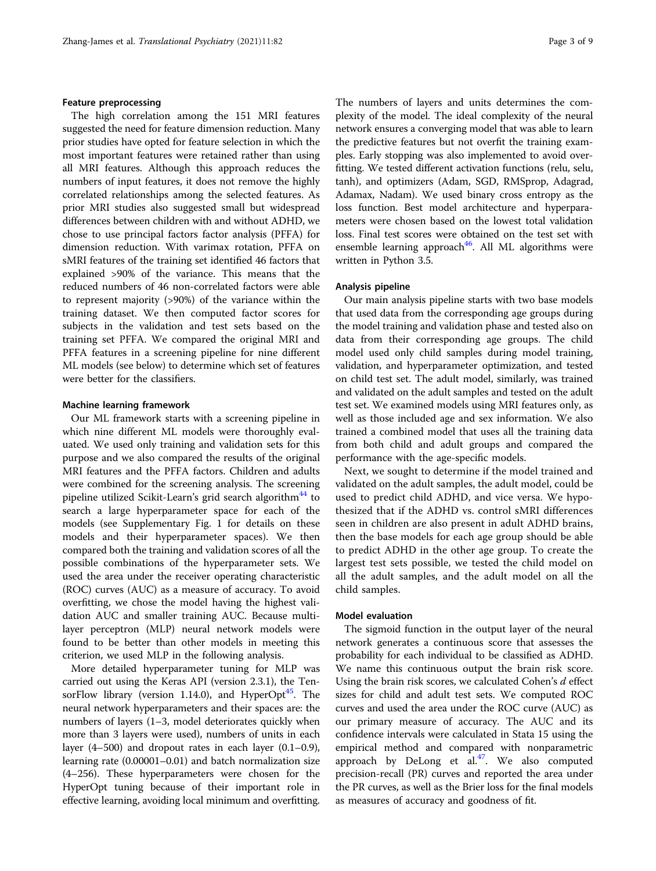#### Feature preprocessing

The high correlation among the 151 MRI features suggested the need for feature dimension reduction. Many prior studies have opted for feature selection in which the most important features were retained rather than using all MRI features. Although this approach reduces the numbers of input features, it does not remove the highly correlated relationships among the selected features. As prior MRI studies also suggested small but widespread differences between children with and without ADHD, we chose to use principal factors factor analysis (PFFA) for dimension reduction. With varimax rotation, PFFA on sMRI features of the training set identified 46 factors that explained >90% of the variance. This means that the reduced numbers of 46 non-correlated factors were able to represent majority (>90%) of the variance within the training dataset. We then computed factor scores for subjects in the validation and test sets based on the training set PFFA. We compared the original MRI and PFFA features in a screening pipeline for nine different ML models (see below) to determine which set of features were better for the classifiers.

#### Machine learning framework

Our ML framework starts with a screening pipeline in which nine different ML models were thoroughly evaluated. We used only training and validation sets for this purpose and we also compared the results of the original MRI features and the PFFA factors. Children and adults were combined for the screening analysis. The screening pipeline utilized Scikit-Learn's grid search algorithm<sup>[44](#page-7-0)</sup> to search a large hyperparameter space for each of the models (see Supplementary Fig. 1 for details on these models and their hyperparameter spaces). We then compared both the training and validation scores of all the possible combinations of the hyperparameter sets. We used the area under the receiver operating characteristic (ROC) curves (AUC) as a measure of accuracy. To avoid overfitting, we chose the model having the highest validation AUC and smaller training AUC. Because multilayer perceptron (MLP) neural network models were found to be better than other models in meeting this criterion, we used MLP in the following analysis.

More detailed hyperparameter tuning for MLP was carried out using the Keras API (version 2.3.1), the TensorFlow library (version 1.14.0), and HyperOpt<sup>45</sup>. The neural network hyperparameters and their spaces are: the numbers of layers (1–3, model deteriorates quickly when more than 3 layers were used), numbers of units in each layer (4–500) and dropout rates in each layer (0.1–0.9), learning rate (0.00001–0.01) and batch normalization size (4–256). These hyperparameters were chosen for the HyperOpt tuning because of their important role in effective learning, avoiding local minimum and overfitting. The numbers of layers and units determines the complexity of the model. The ideal complexity of the neural network ensures a converging model that was able to learn the predictive features but not overfit the training examples. Early stopping was also implemented to avoid overfitting. We tested different activation functions (relu, selu, tanh), and optimizers (Adam, SGD, RMSprop, Adagrad, Adamax, Nadam). We used binary cross entropy as the loss function. Best model architecture and hyperparameters were chosen based on the lowest total validation loss. Final test scores were obtained on the test set with ensemble learning approach<sup>46</sup>. All ML algorithms were written in Python 3.5.

#### Analysis pipeline

Our main analysis pipeline starts with two base models that used data from the corresponding age groups during the model training and validation phase and tested also on data from their corresponding age groups. The child model used only child samples during model training, validation, and hyperparameter optimization, and tested on child test set. The adult model, similarly, was trained and validated on the adult samples and tested on the adult test set. We examined models using MRI features only, as well as those included age and sex information. We also trained a combined model that uses all the training data from both child and adult groups and compared the performance with the age-specific models.

Next, we sought to determine if the model trained and validated on the adult samples, the adult model, could be used to predict child ADHD, and vice versa. We hypothesized that if the ADHD vs. control sMRI differences seen in children are also present in adult ADHD brains, then the base models for each age group should be able to predict ADHD in the other age group. To create the largest test sets possible, we tested the child model on all the adult samples, and the adult model on all the child samples.

#### Model evaluation

The sigmoid function in the output layer of the neural network generates a continuous score that assesses the probability for each individual to be classified as ADHD. We name this continuous output the brain risk score. Using the brain risk scores, we calculated Cohen's d effect sizes for child and adult test sets. We computed ROC curves and used the area under the ROC curve (AUC) as our primary measure of accuracy. The AUC and its confidence intervals were calculated in Stata 15 using the empirical method and compared with nonparametric approach by DeLong et al. $47$ . We also computed precision-recall (PR) curves and reported the area under the PR curves, as well as the Brier loss for the final models as measures of accuracy and goodness of fit.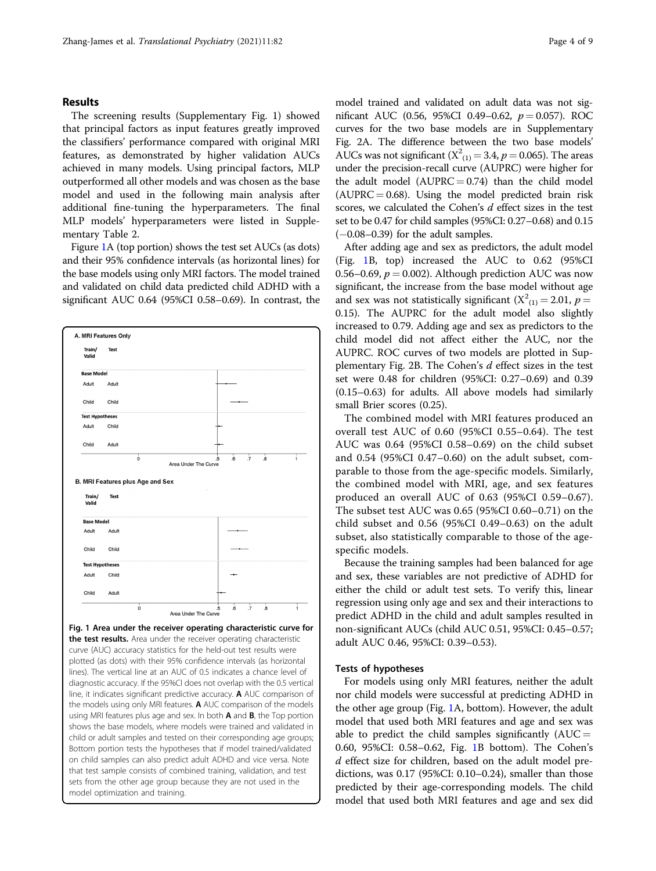#### <span id="page-4-0"></span>Results

The screening results (Supplementary Fig. 1) showed that principal factors as input features greatly improved the classifiers' performance compared with original MRI features, as demonstrated by higher validation AUCs achieved in many models. Using principal factors, MLP outperformed all other models and was chosen as the base model and used in the following main analysis after additional fine-tuning the hyperparameters. The final MLP models' hyperparameters were listed in Supplementary Table 2.

Figure 1A (top portion) shows the test set AUCs (as dots) and their 95% confidence intervals (as horizontal lines) for the base models using only MRI factors. The model trained and validated on child data predicted child ADHD with a significant AUC 0.64 (95%CI 0.58–0.69). In contrast, the



sets from the other age group because they are not used in the

model optimization and training.

model trained and validated on adult data was not significant AUC (0.56, 95%CI 0.49–0.62,  $p = 0.057$ ). ROC curves for the two base models are in Supplementary Fig. 2A. The difference between the two base models' AUCs was not significant  $(X^2_{(1)} = 3.4, p = 0.065)$ . The areas under the precision-recall curve (AUPRC) were higher for the adult model  $(AUPRC = 0.74)$  than the child model  $(AUPRC = 0.68)$ . Using the model predicted brain risk scores, we calculated the Cohen's d effect sizes in the test set to be 0.47 for child samples (95%CI: 0.27–0.68) and 0.15  $(-0.08-0.39)$  for the adult samples.

After adding age and sex as predictors, the adult model (Fig. 1B, top) increased the AUC to 0.62 (95%CI 0.56–0.69,  $p = 0.002$ ). Although prediction AUC was now significant, the increase from the base model without age and sex was not statistically significant  $(X^2_{(1)} = 2.01, p =$ 0.15). The AUPRC for the adult model also slightly increased to 0.79. Adding age and sex as predictors to the child model did not affect either the AUC, nor the AUPRC. ROC curves of two models are plotted in Supplementary Fig. 2B. The Cohen's  $d$  effect sizes in the test set were 0.48 for children (95%CI: 0.27–0.69) and 0.39 (0.15–0.63) for adults. All above models had similarly small Brier scores (0.25).

The combined model with MRI features produced an overall test AUC of 0.60 (95%CI 0.55–0.64). The test AUC was 0.64 (95%CI 0.58–0.69) on the child subset and 0.54 (95%CI 0.47–0.60) on the adult subset, comparable to those from the age-specific models. Similarly, the combined model with MRI, age, and sex features produced an overall AUC of 0.63 (95%CI 0.59–0.67). The subset test AUC was 0.65 (95%CI 0.60–0.71) on the child subset and 0.56 (95%CI 0.49–0.63) on the adult subset, also statistically comparable to those of the agespecific models.

Because the training samples had been balanced for age and sex, these variables are not predictive of ADHD for either the child or adult test sets. To verify this, linear regression using only age and sex and their interactions to predict ADHD in the child and adult samples resulted in non-significant AUCs (child AUC 0.51, 95%CI: 0.45–0.57; adult AUC 0.46, 95%CI: 0.39–0.53).

#### Tests of hypotheses

For models using only MRI features, neither the adult nor child models were successful at predicting ADHD in the other age group (Fig. 1A, bottom). However, the adult model that used both MRI features and age and sex was able to predict the child samples significantly  $(AUC =$ 0.60, 95%CI: 0.58–0.62, Fig. 1B bottom). The Cohen's d effect size for children, based on the adult model predictions, was 0.17 (95%CI: 0.10–0.24), smaller than those predicted by their age-corresponding models. The child model that used both MRI features and age and sex did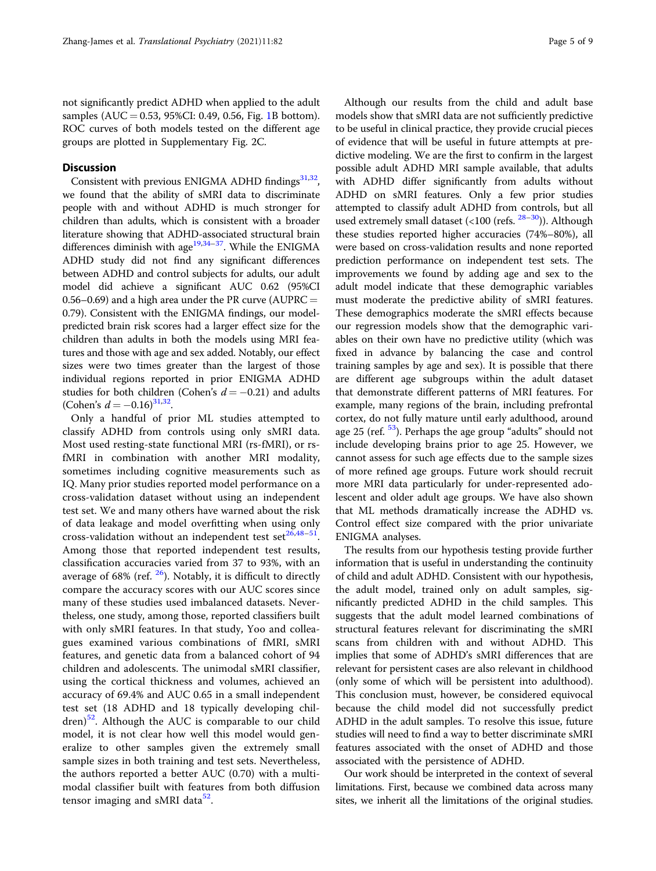not significantly predict ADHD when applied to the adult samples (AUC = 0.53, 95%CI: 0.49, 0.56, Fig. [1B](#page-4-0) bottom). ROC curves of both models tested on the different age groups are plotted in Supplementary Fig. 2C.

#### **Discussion**

Consistent with previous ENIGMA ADHD findings $^{31,32}$ , we found that the ability of sMRI data to discriminate people with and without ADHD is much stronger for children than adults, which is consistent with a broader literature showing that ADHD-associated structural brain differences diminish with age $19,34-37$ . While the ENIGMA ADHD study did not find any significant differences between ADHD and control subjects for adults, our adult model did achieve a significant AUC 0.62 (95%CI 0.56–0.69) and a high area under the PR curve (AUPRC  $=$ 0.79). Consistent with the ENIGMA findings, our modelpredicted brain risk scores had a larger effect size for the children than adults in both the models using MRI features and those with age and sex added. Notably, our effect sizes were two times greater than the largest of those individual regions reported in prior ENIGMA ADHD studies for both children (Cohen's  $d = -0.21$ ) and adults (Cohen's  $d = -0.16$ )<sup>[31](#page-7-0),32</sup>.

Only a handful of prior ML studies attempted to classify ADHD from controls using only sMRI data. Most used resting-state functional MRI (rs-fMRI), or rsfMRI in combination with another MRI modality, sometimes including cognitive measurements such as IQ. Many prior studies reported model performance on a cross-validation dataset without using an independent test set. We and many others have warned about the risk of data leakage and model overfitting when using only cross-validation without an independent test set $^{26,48-51}$  $^{26,48-51}$  $^{26,48-51}$  $^{26,48-51}$  $^{26,48-51}$  $^{26,48-51}$  $^{26,48-51}$ . Among those that reported independent test results, classification accuracies varied from 37 to 93%, with an average of 68% (ref.  $26$ ). Notably, it is difficult to directly compare the accuracy scores with our AUC scores since many of these studies used imbalanced datasets. Nevertheless, one study, among those, reported classifiers built with only sMRI features. In that study, Yoo and colleagues examined various combinations of fMRI, sMRI features, and genetic data from a balanced cohort of 94 children and adolescents. The unimodal sMRI classifier, using the cortical thickness and volumes, achieved an accuracy of 69.4% and AUC 0.65 in a small independent test set (18 ADHD and 18 typically developing chil- $(\text{dren})^{52}$  $(\text{dren})^{52}$  $(\text{dren})^{52}$ . Although the AUC is comparable to our child model, it is not clear how well this model would generalize to other samples given the extremely small sample sizes in both training and test sets. Nevertheless, the authors reported a better AUC (0.70) with a multimodal classifier built with features from both diffusion tensor imaging and sMRI data $52$ .

Although our results from the child and adult base models show that sMRI data are not sufficiently predictive to be useful in clinical practice, they provide crucial pieces of evidence that will be useful in future attempts at predictive modeling. We are the first to confirm in the largest possible adult ADHD MRI sample available, that adults with ADHD differ significantly from adults without ADHD on sMRI features. Only a few prior studies attempted to classify adult ADHD from controls, but all used extremely small dataset  $($ <100 (refs.  $28-30$  $28-30$  $28-30$ )). Although these studies reported higher accuracies (74%–80%), all were based on cross-validation results and none reported prediction performance on independent test sets. The improvements we found by adding age and sex to the adult model indicate that these demographic variables must moderate the predictive ability of sMRI features. These demographics moderate the sMRI effects because our regression models show that the demographic variables on their own have no predictive utility (which was fixed in advance by balancing the case and control training samples by age and sex). It is possible that there are different age subgroups within the adult dataset that demonstrate different patterns of MRI features. For example, many regions of the brain, including prefrontal cortex, do not fully mature until early adulthood, around age 25 (ref. <sup>53</sup>). Perhaps the age group "adults" should not include developing brains prior to age 25. However, we cannot assess for such age effects due to the sample sizes of more refined age groups. Future work should recruit more MRI data particularly for under-represented adolescent and older adult age groups. We have also shown that ML methods dramatically increase the ADHD vs. Control effect size compared with the prior univariate ENIGMA analyses.

The results from our hypothesis testing provide further information that is useful in understanding the continuity of child and adult ADHD. Consistent with our hypothesis, the adult model, trained only on adult samples, significantly predicted ADHD in the child samples. This suggests that the adult model learned combinations of structural features relevant for discriminating the sMRI scans from children with and without ADHD. This implies that some of ADHD's sMRI differences that are relevant for persistent cases are also relevant in childhood (only some of which will be persistent into adulthood). This conclusion must, however, be considered equivocal because the child model did not successfully predict ADHD in the adult samples. To resolve this issue, future studies will need to find a way to better discriminate sMRI features associated with the onset of ADHD and those associated with the persistence of ADHD.

Our work should be interpreted in the context of several limitations. First, because we combined data across many sites, we inherit all the limitations of the original studies.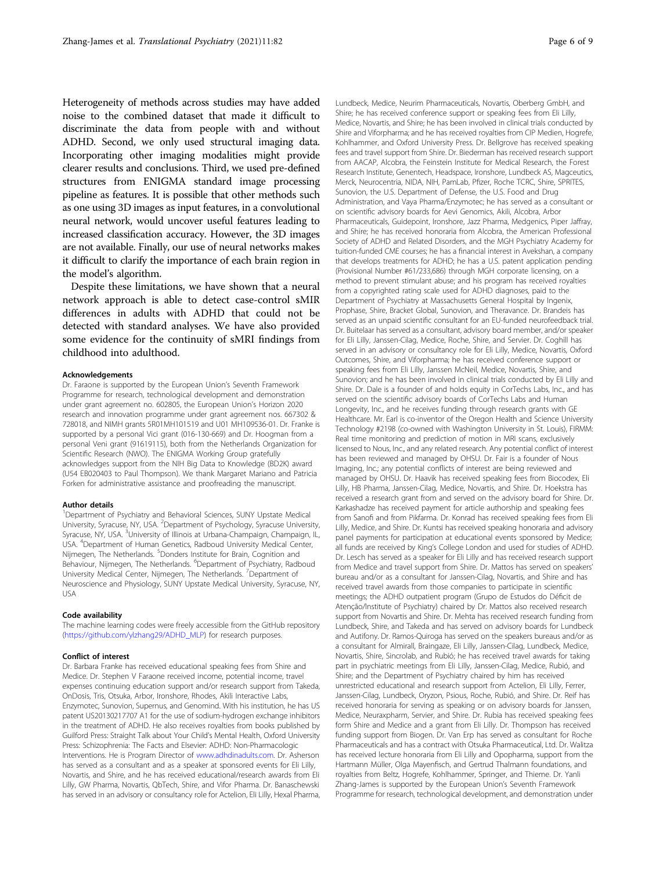Heterogeneity of methods across studies may have added noise to the combined dataset that made it difficult to discriminate the data from people with and without ADHD. Second, we only used structural imaging data. Incorporating other imaging modalities might provide clearer results and conclusions. Third, we used pre-defined structures from ENIGMA standard image processing pipeline as features. It is possible that other methods such as one using 3D images as input features, in a convolutional neural network, would uncover useful features leading to increased classification accuracy. However, the 3D images are not available. Finally, our use of neural networks makes it difficult to clarify the importance of each brain region in the model's algorithm.

Despite these limitations, we have shown that a neural network approach is able to detect case-control sMIR differences in adults with ADHD that could not be detected with standard analyses. We have also provided some evidence for the continuity of sMRI findings from childhood into adulthood.

#### Acknowledgements

Dr. Faraone is supported by the European Union's Seventh Framework Programme for research, technological development and demonstration under grant agreement no. 602805, the European Union's Horizon 2020 research and innovation programme under grant agreement nos. 667302 & 728018, and NIMH grants 5R01MH101519 and U01 MH109536-01. Dr. Franke is supported by a personal Vici grant (016-130-669) and Dr. Hoogman from a personal Veni grant (91619115), both from the Netherlands Organization for Scientific Research (NWO). The ENIGMA Working Group gratefully acknowledges support from the NIH Big Data to Knowledge (BD2K) award (U54 EB020403 to Paul Thompson). We thank Margaret Mariano and Patricia Forken for administrative assistance and proofreading the manuscript.

#### Author details

<sup>1</sup>Department of Psychiatry and Behavioral Sciences, SUNY Upstate Medical University, Syracuse, NY, USA. <sup>2</sup>Department of Psychology, Syracuse University, Syracuse, NY, USA. <sup>3</sup>University of Illinois at Urbana-Champaign, Champaign, IL, USA. <sup>4</sup> Department of Human Genetics, Radboud University Medical Center, Nijmegen, The Netherlands. <sup>5</sup>Donders Institute for Brain, Cognition and Behaviour, Nijmegen, The Netherlands. <sup>6</sup>Department of Psychiatry, Radboud University Medical Center, Nijmegen, The Netherlands. <sup>7</sup>Department of Neuroscience and Physiology, SUNY Upstate Medical University, Syracuse, NY, USA

#### Code availability

The machine learning codes were freely accessible from the GitHub repository ([https://github.com/ylzhang29/ADHD\\_MLP](https://github.com/ylzhang29/ADHD_MLP)) for research purposes.

#### Conflict of interest

Dr. Barbara Franke has received educational speaking fees from Shire and Medice. Dr. Stephen V Faraone received income, potential income, travel expenses continuing education support and/or research support from Takeda, OnDosis, Tris, Otsuka, Arbor, Ironshore, Rhodes, Akili Interactive Labs, Enzymotec, Sunovion, Supernus, and Genomind. With his institution, he has US patent US20130217707 A1 for the use of sodium-hydrogen exchange inhibitors in the treatment of ADHD. He also receives royalties from books published by Guilford Press: Straight Talk about Your Child's Mental Health, Oxford University Press: Schizophrenia: The Facts and Elsevier: ADHD: Non-Pharmacologic Interventions. He is Program Director of [www.adhdinadults.com](http://www.adhdinadults.com). Dr. Asherson has served as a consultant and as a speaker at sponsored events for Eli Lilly, Novartis, and Shire, and he has received educational/research awards from Eli Lilly, GW Pharma, Novartis, QbTech, Shire, and Vifor Pharma. Dr. Banaschewski has served in an advisory or consultancy role for Actelion, Eli Lilly, Hexal Pharma,

Lundbeck, Medice, Neurim Pharmaceuticals, Novartis, Oberberg GmbH, and Shire; he has received conference support or speaking fees from Eli Lilly, Medice, Novartis, and Shire; he has been involved in clinical trials conducted by Shire and Viforpharma; and he has received royalties from CIP Medien, Hogrefe, Kohlhammer, and Oxford University Press. Dr. Bellgrove has received speaking fees and travel support from Shire. Dr. Biederman has received research support from AACAP, Alcobra, the Feinstein Institute for Medical Research, the Forest Research Institute, Genentech, Headspace, Ironshore, Lundbeck AS, Magceutics, Merck, Neurocentria, NIDA, NIH, PamLab, Pfizer, Roche TCRC, Shire, SPRITES, Sunovion, the U.S. Department of Defense, the U.S. Food and Drug Administration, and Vaya Pharma/Enzymotec; he has served as a consultant or on scientific advisory boards for Aevi Genomics, Akili, Alcobra, Arbor Pharmaceuticals, Guidepoint, Ironshore, Jazz Pharma, Medgenics, Piper Jaffray, and Shire; he has received honoraria from Alcobra, the American Professional Society of ADHD and Related Disorders, and the MGH Psychiatry Academy for tuition-funded CME courses; he has a financial interest in Avekshan, a company that develops treatments for ADHD; he has a U.S. patent application pending (Provisional Number #61/233,686) through MGH corporate licensing, on a method to prevent stimulant abuse; and his program has received royalties from a copyrighted rating scale used for ADHD diagnoses, paid to the Department of Psychiatry at Massachusetts General Hospital by Ingenix, Prophase, Shire, Bracket Global, Sunovion, and Theravance. Dr. Brandeis has served as an unpaid scientific consultant for an EU-funded neurofeedback trial. Dr. Buitelaar has served as a consultant, advisory board member, and/or speaker for Eli Lilly, Janssen-Cilag, Medice, Roche, Shire, and Servier. Dr. Coghill has served in an advisory or consultancy role for Eli Lilly, Medice, Novartis, Oxford Outcomes, Shire, and Viforpharma; he has received conference support or speaking fees from Eli Lilly, Janssen McNeil, Medice, Novartis, Shire, and Sunovion; and he has been involved in clinical trials conducted by Eli Lilly and Shire. Dr. Dale is a founder of and holds equity in CorTechs Labs, Inc., and has served on the scientific advisory boards of CorTechs Labs and Human Longevity, Inc., and he receives funding through research grants with GE Healthcare. Mr. Earl is co-inventor of the Oregon Health and Science University Technology #2198 (co-owned with Washington University in St. Louis), FIRMM: Real time monitoring and prediction of motion in MRI scans, exclusively licensed to Nous, Inc., and any related research. Any potential conflict of interest has been reviewed and managed by OHSU. Dr. Fair is a founder of Nous Imaging, Inc.; any potential conflicts of interest are being reviewed and managed by OHSU. Dr. Haavik has received speaking fees from Biocodex, Eli Lilly, HB Pharma, Janssen-Cilag, Medice, Novartis, and Shire. Dr. Hoekstra has received a research grant from and served on the advisory board for Shire. Dr. Karkashadze has received payment for article authorship and speaking fees from Sanofi and from Pikfarma. Dr. Konrad has received speaking fees from Eli Lilly, Medice, and Shire. Dr. Kuntsi has received speaking honoraria and advisory panel payments for participation at educational events sponsored by Medice; all funds are received by King's College London and used for studies of ADHD. Dr. Lesch has served as a speaker for Eli Lilly and has received research support from Medice and travel support from Shire. Dr. Mattos has served on speakers' bureau and/or as a consultant for Janssen-Cilag, Novartis, and Shire and has received travel awards from those companies to participate in scientific meetings; the ADHD outpatient program (Grupo de Estudos do Déficit de Atenção/Institute of Psychiatry) chaired by Dr. Mattos also received research support from Novartis and Shire. Dr. Mehta has received research funding from Lundbeck, Shire, and Takeda and has served on advisory boards for Lundbeck and Autifony. Dr. Ramos-Quiroga has served on the speakers bureaus and/or as a consultant for Almirall, Braingaze, Eli Lilly, Janssen-Cilag, Lundbeck, Medice, Novartis, Shire, Sincrolab, and Rubió; he has received travel awards for taking part in psychiatric meetings from Eli Lilly, Janssen-Cilag, Medice, Rubió, and Shire; and the Department of Psychiatry chaired by him has received unrestricted educational and research support from Actelion, Eli Lilly, Ferrer, Janssen-Cilag, Lundbeck, Oryzon, Psious, Roche, Rubió, and Shire. Dr. Reif has received honoraria for serving as speaking or on advisory boards for Janssen, Medice, Neuraxpharm, Servier, and Shire. Dr. Rubia has received speaking fees form Shire and Medice and a grant from Eli Lilly. Dr. Thompson has received funding support from Biogen. Dr. Van Erp has served as consultant for Roche Pharmaceuticals and has a contract with Otsuka Pharmaceutical, Ltd. Dr. Walitza has received lecture honoraria from Eli Lilly and Opopharma, support from the Hartmann Müller, Olga Mayenfisch, and Gertrud Thalmann foundations, and royalties from Beltz, Hogrefe, Kohlhammer, Springer, and Thieme. Dr. Yanli Zhang-James is supported by the European Union's Seventh Framework Programme for research, technological development, and demonstration under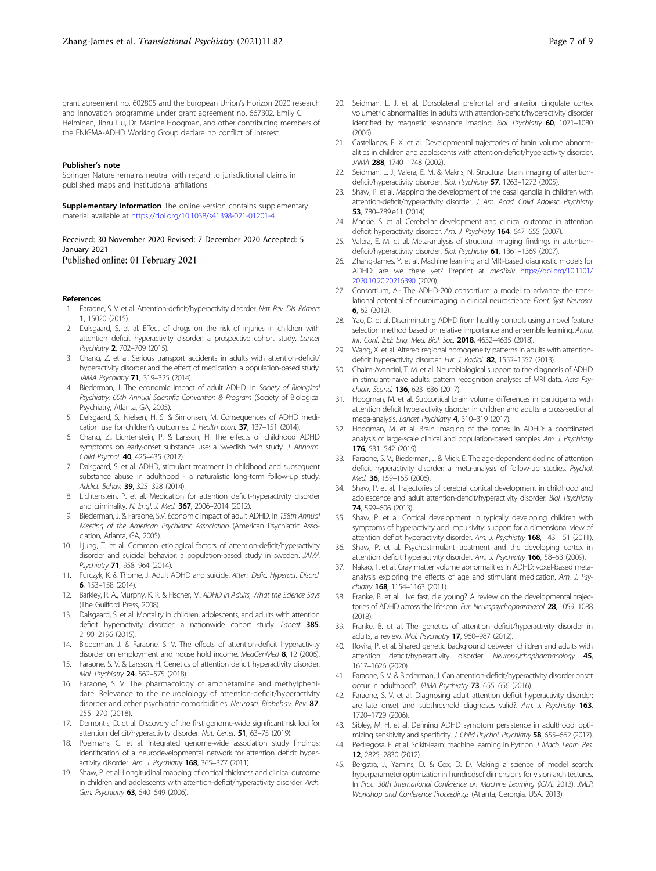<span id="page-7-0"></span>grant agreement no. 602805 and the European Union's Horizon 2020 research and innovation programme under grant agreement no. 667302. Emily C Helminen, Jinru Liu, Dr. Martine Hoogman, and other contributing members of the ENIGMA-ADHD Working Group declare no conflict of interest.

#### Publisher's note

Springer Nature remains neutral with regard to jurisdictional claims in published maps and institutional affiliations.

Supplementary information The online version contains supplementary material available at <https://doi.org/10.1038/s41398-021-01201-4>.

#### Received: 30 November 2020 Revised: 7 December 2020 Accepted: 5 January 2021

Published online: 01 February 2021

#### References

- 1. Faraone, S. V. et al. Attention-deficit/hyperactivity disorder. Nat. Rev. Dis. Primers 1, 15020 (2015)
- 2. Dalsgaard, S. et al. Effect of drugs on the risk of injuries in children with attention deficit hyperactivity disorder: a prospective cohort study. Lancet Psychiatry 2, 702–709 (2015).
- 3. Chang, Z. et al. Serious transport accidents in adults with attention-deficit/ hyperactivity disorder and the effect of medication: a population-based study. JAMA Psychiatry 71, 319–325 (2014).
- 4. Biederman, J. The economic impact of adult ADHD. In Society of Biological Psychiatry: 60th Annual Scientific Convention & Program (Society of Biological Psychiatry, Atlanta, GA, 2005).
- Dalsgaard, S., Nielsen, H. S. & Simonsen, M. Consequences of ADHD medication use for children's outcomes. J. Health Econ. 37, 137-151 (2014).
- 6. Chang, Z., Lichtenstein, P. & Larsson, H. The effects of childhood ADHD symptoms on early-onset substance use: a Swedish twin study. J. Abnorm. Child Psychol. 40, 425–435 (2012).
- 7. Dalsgaard, S. et al. ADHD, stimulant treatment in childhood and subsequent substance abuse in adulthood - a naturalistic long-term follow-up study. Addict. Behav. 39, 325-328 (2014).
- 8. Lichtenstein, P. et al. Medication for attention deficit-hyperactivity disorder and criminality. N. Engl. J. Med. 367, 2006-2014 (2012).
- Biederman, J. & Faraone, S.V. Economic impact of adult ADHD. In 158th Annual Meeting of the American Psychiatric Association (American Psychiatric Association, Atlanta, GA, 2005).
- 10. Ljung, T. et al. Common etiological factors of attention-deficit/hyperactivity disorder and suicidal behavior: a population-based study in sweden. JAMA Psychiatry 71, 958–964 (2014).
- 11. Furczyk, K. & Thome, J. Adult ADHD and suicide. Atten. Defic. Hyperact. Disord. 6, 153–158 (2014).
- 12. Barkley, R. A., Murphy, K. R. & Fischer, M. ADHD in Adults, What the Science Says (The Guilford Press, 2008).
- 13. Dalsgaard, S. et al. Mortality in children, adolescents, and adults with attention deficit hyperactivity disorder: a nationwide cohort study. Lancet 385, 2190–2196 (2015).
- 14. Biederman, J. & Faraone, S. V. The effects of attention-deficit hyperactivity disorder on employment and house hold income. MedGenMed 8, 12 (2006).
- 15. Faraone, S. V. & Larsson, H. Genetics of attention deficit hyperactivity disorder. Mol. Psychiatry 24, 562–575 (2018).
- 16. Faraone, S. V. The pharmacology of amphetamine and methylphenidate: Relevance to the neurobiology of attention-deficit/hyperactivity disorder and other psychiatric comorbidities. Neurosci. Biobehav. Rev. 87, 255–270 (2018).
- 17. Demontis, D. et al. Discovery of the first genome-wide significant risk loci for attention deficit/hyperactivity disorder. Nat. Genet. 51, 63-75 (2019).
- 18. Poelmans, G. et al. Integrated genome-wide association study findings: identification of a neurodevelopmental network for attention deficit hyperactivity disorder. Am. J. Psychiatry 168, 365-377 (2011).
- 19. Shaw, P. et al. Longitudinal mapping of cortical thickness and clinical outcome in children and adolescents with attention-deficit/hyperactivity disorder. Arch. Gen. Psychiatry 63, 540-549 (2006).
- 20. Seidman, L. J. et al. Dorsolateral prefrontal and anterior cingulate cortex volumetric abnormalities in adults with attention-deficit/hyperactivity disorder identified by magnetic resonance imaging. Biol. Psychiatry 60, 1071-1080  $(2006)$
- 21. Castellanos, F. X. et al. Developmental trajectories of brain volume abnormalities in children and adolescents with attention-deficit/hyperactivity disorder. JAMA 288, 1740–1748 (2002).
- 22. Seidman, L. J., Valera, E. M. & Makris, N. Structural brain imaging of attentiondeficit/hyperactivity disorder. Biol. Psychiatry 57, 1263-1272 (2005).
- 23. Shaw, P. et al. Mapping the development of the basal ganglia in children with attention-deficit/hyperactivity disorder. J. Am. Acad. Child Adolesc. Psychiatry 53, 780–789.e11 (2014).
- 24. Mackie, S. et al. Cerebellar development and clinical outcome in attention deficit hyperactivity disorder. Am. J. Psychiatry 164, 647-655 (2007)
- 25. Valera, E. M. et al. Meta-analysis of structural imaging findings in attentiondeficit/hyperactivity disorder. Biol. Psychiatry 61, 1361-1369 (2007).
- 26. Zhang-James, Y. et al. Machine learning and MRI-based diagnostic models for ADHD: are we there yet? Preprint at medRxiv [https://doi.org/10.1101/](https://doi.org/10.1101/2020.10.20.20216390) [2020.10.20.20216390](https://doi.org/10.1101/2020.10.20.20216390) (2020).
- 27. Consortium, A.- The ADHD-200 consortium: a model to advance the translational potential of neuroimaging in clinical neuroscience. Front. Syst. Neurosci. 6, 62 (2012).
- 28. Yao, D. et al. Discriminating ADHD from healthy controls using a novel feature selection method based on relative importance and ensemble learning. Annu. Int. Conf. IEEE Eng. Med. Biol. Soc. 2018, 4632-4635 (2018).
- 29. Wang, X. et al. Altered regional homogeneity patterns in adults with attentiondeficit hyperactivity disorder. Eur. J. Radiol. 82, 1552-1557 (2013).
- 30. Chaim-Avancini, T. M. et al. Neurobiological support to the diagnosis of ADHD in stimulant-naïve adults: pattern recognition analyses of MRI data. Acta Psychiatr. Scand. **136**, 623-636 (2017).
- 31. Hoogman, M. et al. Subcortical brain volume differences in participants with attention deficit hyperactivity disorder in children and adults: a cross-sectional mega-analysis. Lancet Psychiatry 4, 310–319 (2017).
- 32. Hoogman, M. et al. Brain imaging of the cortex in ADHD: a coordinated analysis of large-scale clinical and population-based samples. Am. J. Psychiatry 176, 531–542 (2019).
- 33. Faraone, S. V., Biederman, J. & Mick, E. The age-dependent decline of attention deficit hyperactivity disorder: a meta-analysis of follow-up studies. Psychol. Med. 36, 159-165 (2006).
- 34. Shaw, P. et al. Trajectories of cerebral cortical development in childhood and adolescence and adult attention-deficit/hyperactivity disorder. Biol. Psychiatry 74, 599–606 (2013).
- 35. Shaw, P. et al. Cortical development in typically developing children with symptoms of hyperactivity and impulsivity: support for a dimensional view of attention deficit hyperactivity disorder. Am. J. Psychiatry 168, 143-151 (2011).
- 36. Shaw, P. et al. Psychostimulant treatment and the developing cortex in attention deficit hyperactivity disorder. Am. J. Psychiatry 166, 58-63 (2009).
- 37. Nakao, T. et al. Gray matter volume abnormalities in ADHD: voxel-based metaanalysis exploring the effects of age and stimulant medication. Am. J. Psychiatry 168, 1154-1163 (2011).
- 38. Franke, B. et al. Live fast, die young? A review on the developmental trajectories of ADHD across the lifespan. Eur. Neuropsychopharmacol. 28, 1059–1088  $(2018)$
- 39. Franke, B. et al. The genetics of attention deficit/hyperactivity disorder in adults, a review. Mol. Psychiatry 17, 960–987 (2012).
- 40. Rovira, P. et al. Shared genetic background between children and adults with attention deficit/hyperactivity disorder. Neuropsychopharmacology 45, 1617–1626 (2020).
- 41. Faraone, S. V. & Biederman, J. Can attention-deficit/hyperactivity disorder onset occur in adulthood?. JAMA Psychiatry 73, 655–656 (2016).
- 42. Faraone, S. V. et al. Diagnosing adult attention deficit hyperactivity disorder: are late onset and subthreshold diagnoses valid?. Am. J. Psychiatry 163, 1720–1729 (2006).
- 43. Sibley, M. H. et al. Defining ADHD symptom persistence in adulthood: optimizing sensitivity and specificity. J. Child Psychol. Psychiatry 58, 655-662 (2017).
- 44. Pedregosa, F. et al. Scikit-learn: machine learning in Python. J. Mach. Learn. Res. 12, 2825–2830 (2012).
- 45. Bergstra, J., Yamins, D. & Cox, D. D. Making a science of model search: hyperparameter optimizationin hundredsof dimensions for vision architectures. In Proc. 30th International Conference on Machine Learning (ICML 2013), JMLR Workshop and Conference Proceedings (Atlanta, Gerorgia, USA, 2013).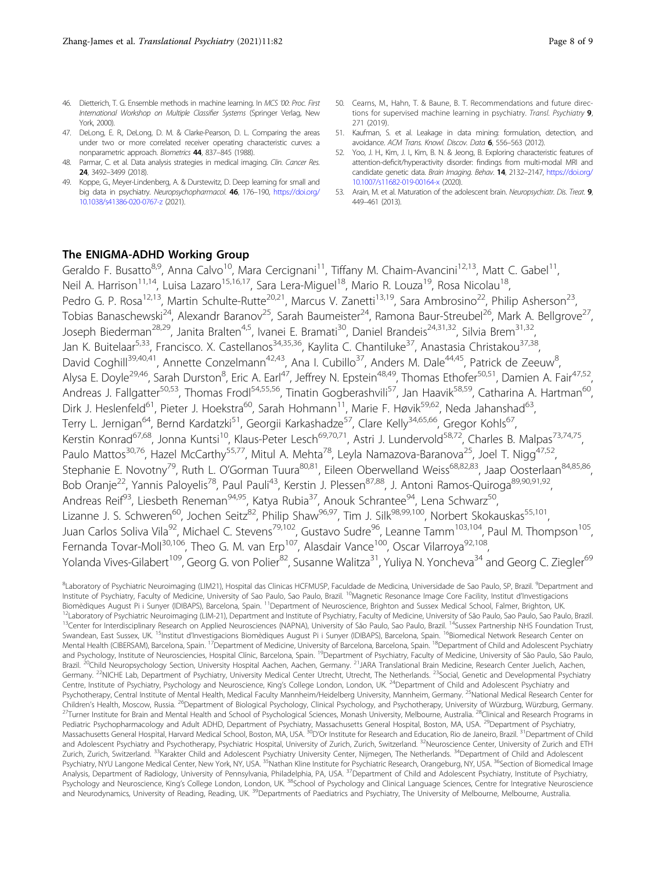- <span id="page-8-0"></span>46. Dietterich, T. G. Ensemble methods in machine learning. In MCS '00: Proc. First International Workshop on Multiple Classifier Systems (Springer Verlag, New York, 2000).
- 47. DeLong, E. R., DeLong, D. M. & Clarke-Pearson, D. L. Comparing the areas under two or more correlated receiver operating characteristic curves: a nonparametric approach. Biometrics 44, 837–845 (1988).
- 48. Parmar, C. et al. Data analysis strategies in medical imaging. Clin. Cancer Res. 24, 3492–3499 (2018).
- 49. Koppe, G., Meyer-Lindenberg, A. & Durstewitz, D. Deep learning for small and big data in psychiatry. Neuropsychopharmacol. 46, 176–190, [https://doi.org/](https://doi.org/10.1038/s41386-020-0767-z) [10.1038/s41386-020-0767-z](https://doi.org/10.1038/s41386-020-0767-z) (2021).
- 50. Cearns, M., Hahn, T. & Baune, B. T. Recommendations and future directions for supervised machine learning in psychiatry. Transl. Psychiatry 9, 271 (2019).
- 51. Kaufman, S. et al. Leakage in data mining: formulation, detection, and avoidance. ACM Trans. Knowl. Discov. Data 6, 556–563 (2012).
- 52. Yoo, J. H., Kim, J. I., Kim, B. N. & Jeong, B. Exploring characteristic features of attention-deficit/hyperactivity disorder: findings from multi-modal MRI and candidate genetic data. Brain Imaging. Behav. 14, 2132–2147, [https://doi.org/](https://doi.org/10.1007/s11682-019-00164-x) [10.1007/s11682-019-00164-x](https://doi.org/10.1007/s11682-019-00164-x) (2020).
- 53. Arain, M. et al. Maturation of the adolescent brain. Neuropsychiatr. Dis. Treat. 9, 449–461 (2013).

#### The ENIGMA-ADHD Working Group

Geraldo F. Busatto<sup>8,9</sup>, Anna Calvo<sup>10</sup>, Mara Cercignani<sup>11</sup>, Tiffany M. Chaim-Avancini<sup>12,13</sup>, Matt C. Gabel<sup>11</sup>, Neil A. Harrison<sup>11,14</sup>, Luisa Lazaro<sup>15,16,17</sup>, Sara Lera-Miguel<sup>18</sup>, Mario R. Louza<sup>19</sup>, Rosa Nicolau<sup>18</sup>, Pedro G. P. Rosa<sup>12,13</sup>, Martin Schulte-Rutte<sup>20,21</sup>, Marcus V. Zanetti<sup>13,19</sup>, Sara Ambrosino<sup>22</sup>, Philip Asherson<sup>23</sup>, Tobias Banaschewski<sup>24</sup>, Alexandr Baranov<sup>25</sup>, Sarah Baumeister<sup>24</sup>, Ramona Baur-Streubel<sup>26</sup>, Mark A. Bellgrove<sup>27</sup>, Joseph Biederman<sup>28,29</sup>, Janita Bralten<sup>4,5</sup>, Ivanei E. Bramati<sup>30</sup>, Daniel Brandeis<sup>24,31,32</sup>, Silvia Brem<sup>31,32</sup>, Jan K. Buitelaar<sup>5,33</sup>, Francisco. X. Castellanos<sup>34,35,36</sup>, Kaylita C. Chantiluke<sup>37</sup>, Anastasia Christakou<sup>37,38</sup>, David Coghill<sup>39,40,41</sup>, Annette Conzelmann<sup>42,43</sup>, Ana I. Cubillo<sup>37</sup>, Anders M. Dale<sup>44,45</sup>, Patrick de Zeeuw<sup>8</sup>, , Alysa E. Doyle<sup>29,46</sup>, Sarah Durston<sup>8</sup>, Eric A. Earl<sup>47</sup>, Jeffrey N. Epstein<sup>48,49</sup>, Thomas Ethofer<sup>50,51</sup>, Damien A. Fair<sup>47,52</sup>, Andreas J. Fallgatter<sup>50,53</sup>, Thomas Frodl<sup>54,55,56</sup>, Tinatin Gogberashvili<sup>57</sup>, Jan Haavik<sup>58,59</sup>, Catharina A. Hartman<sup>60</sup>, Dirk J. Heslenfeld<sup>61</sup>, Pieter J. Hoekstra<sup>60</sup>, Sarah Hohmann<sup>11</sup>, Marie F. Høvik<sup>59,62</sup>, Neda Jahanshad<sup>63</sup>, Terry L. Jernigan<sup>64</sup>, Bernd Kardatzki<sup>51</sup>, Georgii Karkashadze<sup>57</sup>, Clare Kelly<sup>34,65,66</sup>, Gregor Kohls<sup>67</sup>, Kerstin Konrad<sup>67,68</sup>, Jonna Kuntsi<sup>10</sup>, Klaus-Peter Lesch<sup>69,70,71</sup>, Astri J. Lundervold<sup>58,72</sup>, Charles B. Malpas<sup>73,74,75</sup>, Paulo Mattos<sup>30,76</sup>, Hazel McCarthy<sup>55,77</sup>, Mitul A. Mehta<sup>78</sup>, Leyla Namazova-Baranova<sup>25</sup>, Joel T. Nigg<sup>47,52</sup>, Stephanie E. Novotny<sup>79</sup>, Ruth L. O'Gorman Tuura<sup>80,81</sup>, Eileen Oberwelland Weiss<sup>68,82,83</sup>, Jaap Oosterlaan<sup>84,85,86</sup>, Bob Oranje<sup>22</sup>, Yannis Paloyelis<sup>78</sup>, Paul Pauli<sup>43</sup>, Kerstin J. Plessen<sup>87,88</sup>, J. Antoni Ramos-Quiroga<sup>89,90,91,92</sup>, Andreas Reif<sup>93</sup>, Liesbeth Reneman<sup>94,95</sup>, Katya Rubia<sup>37</sup>, Anouk Schrantee<sup>94</sup>, Lena Schwarz<sup>50</sup>, Lizanne J. S. Schweren<sup>60</sup>, Jochen Seitz<sup>82</sup>, Philip Shaw<sup>96,97</sup>, Tim J. Silk<sup>98,99,100</sup>, Norbert Skokauskas<sup>55,101</sup>, Juan Carlos Soliva Vila<sup>92</sup>, Michael C. Stevens<sup>79,102</sup>, Gustavo Sudre<sup>96</sup>, Leanne Tamm<sup>103,104</sup>, Paul M. Thompson<sup>105</sup>, Fernanda Tovar-Moll<sup>30,106</sup>, Theo G. M. van Erp<sup>107</sup>, Alasdair Vance<sup>100</sup>, Oscar Vilarroya<sup>92,108</sup>, Yolanda Vives-Gilabert<sup>109</sup>, Georg G. von Polier<sup>82</sup>, Susanne Walitza<sup>31</sup>, Yuliya N. Yoncheva<sup>34</sup> and Georg C. Ziegler<sup>69</sup>

<sup>8</sup>Laboratory of Psychiatric Neuroimaging (LIM21), Hospital das Clinicas HCFMUSP, Faculdade de Medicina, Universidade de Sao Paulo, SP, Brazil. <sup>9</sup>Department and Institute of Psychiatry, Faculty of Medicine, University of Sao Paulo, Sao Paulo, Brazil. <sup>10</sup>Magnetic Resonance Image Core Facility, Institut d'Investigacions Biomèdiques August Pi i Sunyer (IDIBAPS), Barcelona, Spain. <sup>11</sup>Department of Neuroscience, Brighton and Sussex Medical School, Falmer, Brighton, UK.<br><sup>12</sup>Laboratory of Psychiatric Neuroimaging (LIM-21), Department and Inst Swandean, East Sussex, UK. <sup>15</sup>Institut d'Investigacions Biomèdiques August Pi i Sunyer (IDIBAPS), Barcelona, Spain. <sup>16</sup>Biomedical Network Research Center on Mental Health (CIBERSAM), Barcelona, Spain. <sup>17</sup>Department of Medicine, University of Barcelona, Barcelona, Spain. <sup>18</sup>Department of Child and Adolescent Psychiatry and Psychology, Institute of Neurosciencies, Hospital Clínic, Barcelona, Spain. <sup>19</sup>Department of Psychiatry, Faculty of Medicine, University of São Paulo, São Paulo, São Paulo, São Paulo, São Paulo, São Paulo, São Paulo, Brazil. <sup>20</sup>Child Neuropsychology Section, University Hospital Aachen, Aachen, Germany. <sup>21</sup>JARA Translational Brain Medicine, Research Center Juelich, Aachen, Germany. <sup>22</sup>NICHE Lab, Department of Psychiatry, University Medical Center Utrecht, Utrecht, The Netherlands. <sup>23</sup>Social, Genetic and Developmental Psychiatry Centre, Institute of Psychiatry, Psychology and Neuroscience, King's College London, London, UK.<sup>24</sup>Department of Child and Adolescent Psychiatry and Psychotherapy, Central Institute of Mental Health, Medical Faculty Mannheim/Heidelberg University, Mannheim, Germany. <sup>25</sup>National Medical Research Center for Children's Health, Moscow, Russia. <sup>26</sup>Department of Biological Psychology, Clinical Psychology, and Psychotherapy, University of Würzburg, Würzburg, Germany.<br><sup>27</sup>Turner Institute for Brain and Mental Health and School of Pediatric Psychopharmacology and Adult ADHD, Department of Psychiatry, Massachusetts General Hospital, Boston, MA, USA. <sup>29</sup>Department of Psychiatry, Massachusetts General Hospital, Harvard Medical School, Boston, MA, USA. <sup>30</sup>D'Or Institute for Research and Education, Rio de Janeiro, Brazil. <sup>31</sup> Department of Child and Adolescent Psychiatry and Psychotherapy, Psychiatric Hospital, University of Zurich, Zurich, Switzerland. <sup>32</sup>Neuroscience Center, University of Zurich and ETH Zurich, Zurich, Switzerland. <sup>33</sup>Karakter Child and Adolescent Psychiatry University Center, Nijmegen, The Netherlands. <sup>34</sup>Department of Child and Adolescent Psychiatry, NYU Langone Medical Center, New York, NY, USA. <sup>35</sup>Nathan Kline Institute for Psychiatric Research, Orangeburg, NY, USA. <sup>36</sup>Section of Biomedical Image Analysis, Department of Radiology, University of Pennsylvania, Philadelphia, PA, USA. <sup>37</sup>Department of Child and Adolescent Psychiatry, Institute of Psychiatry, Psychology and Neuroscience, King's College London, London, UK. <sup>38</sup>School of Psychology and Clinical Language Sciences, Centre for Integrative Neuroscience and Neurodynamics, University of Reading, Reading, UK.<sup>39</sup>Departments of Paediatrics and Psychiatry, The University of Melbourne, Melbourne, Australia.